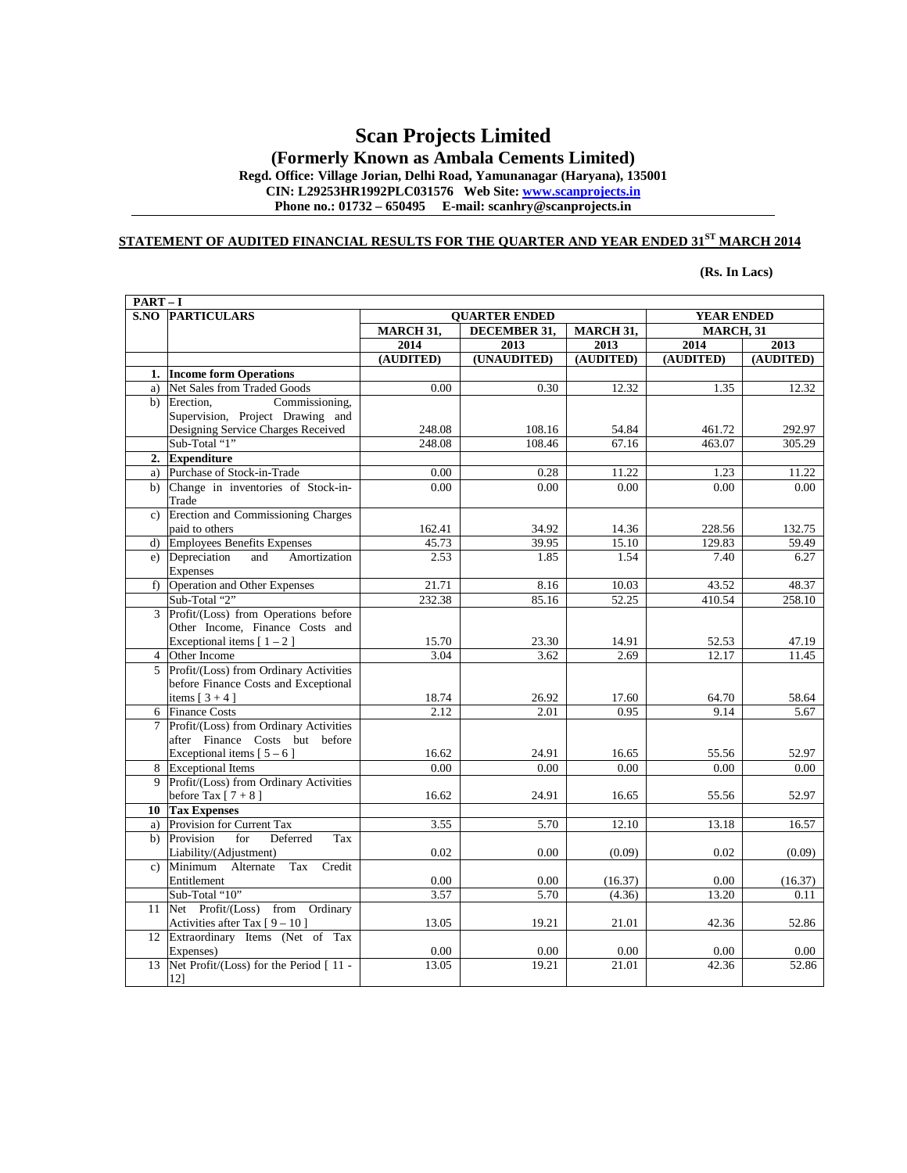# **Scan Projects Limited**

**(Formerly Known as Ambala Cements Limited) Regd. Office: Village Jorian, Delhi Road, Yamunanagar (Haryana), 135001** 

**CIN: L29253HR1992PLC031576 Web Site: www.scanprojects.in** Phone no.: 01732 – 650495 E-mail: scanhry@scanprojects.in

#### **STATEMENT OF AUDITED FINANCIAL RESULTS FOR THE QUARTER AND YEAR ENDED 31ST MARCH 2014**

**(Rs. In Lacs)** 

| $PART-I$       |                                        |                      |               |               |                   |               |
|----------------|----------------------------------------|----------------------|---------------|---------------|-------------------|---------------|
|                | <b>S.NO PARTICULARS</b>                | <b>OUARTER ENDED</b> |               |               | <b>YEAR ENDED</b> |               |
|                |                                        | MARCH 31,            | DECEMBER 31,  | MARCH 31,     | MARCH, 31         |               |
|                |                                        | 2014                 | 2013          | 2013          | 2014              | 2013          |
|                |                                        | (AUDITED)            | (UNAUDITED)   | (AUDITED)     | (AUDITED)         | (AUDITED)     |
| 1.             | <b>Income form Operations</b>          |                      |               |               |                   |               |
| a)             | Net Sales from Traded Goods            | 0.00                 | 0.30          | 12.32         | 1.35              | 12.32         |
| b)             | Erection.<br>Commissioning,            |                      |               |               |                   |               |
|                | Supervision, Project Drawing and       |                      |               |               |                   |               |
|                | Designing Service Charges Received     | 248.08               | 108.16        | 54.84         | 461.72            | 292.97        |
|                | Sub-Total "1"                          | 248.08               | 108.46        | 67.16         | 463.07            | 305.29        |
| 2.             | <b>Expenditure</b>                     |                      |               |               |                   |               |
| a)             | Purchase of Stock-in-Trade             | 0.00                 | 0.28          | 11.22         | 1.23              | 11.22         |
| b)             | Change in inventories of Stock-in-     | 0.00                 | 0.00          | 0.00          | 0.00              | 0.00          |
|                | Trade                                  |                      |               |               |                   |               |
|                | c) Erection and Commissioning Charges  |                      |               |               |                   |               |
|                | paid to others                         | 162.41               | 34.92         | 14.36         | 228.56            | 132.75        |
| $\mathbf{d}$   | <b>Employees Benefits Expenses</b>     | 45.73                | 39.95         | 15.10         | 129.83            | 59.49         |
| e)             | Depreciation<br>Amortization<br>and    | 2.53                 | 1.85          | 1.54          | 7.40              | 6.27          |
|                | <b>Expenses</b>                        |                      |               |               |                   |               |
|                | f) Operation and Other Expenses        | 21.71                | 8.16          | 10.03         | 43.52             | 48.37         |
|                | Sub-Total "2"                          | 232.38               | 85.16         | 52.25         | 410.54            | 258.10        |
|                | 3 Profit/(Loss) from Operations before |                      |               |               |                   |               |
|                | Other Income, Finance Costs and        |                      |               |               |                   |               |
|                | Exceptional items $[1 - 2]$            | 15.70                | 23.30         | 14.91         | 52.53             | 47.19         |
| $\overline{4}$ | Other Income                           | 3.04                 | 3.62          | 2.69          | 12.17             | 11.45         |
| 5              | Profit/(Loss) from Ordinary Activities |                      |               |               |                   |               |
|                | before Finance Costs and Exceptional   |                      |               |               |                   |               |
|                | items $[3+4]$<br><b>Finance Costs</b>  | 18.74<br>2.12        | 26.92<br>2.01 | 17.60<br>0.95 | 64.70<br>9.14     | 58.64<br>5.67 |
| 6              | Profit/(Loss) from Ordinary Activities |                      |               |               |                   |               |
| 7              | after Finance Costs but before         |                      |               |               |                   |               |
|                | Exceptional items $[5 - 6]$            | 16.62                | 24.91         | 16.65         | 55.56             | 52.97         |
|                | 8 Exceptional Items                    | 0.00                 | 0.00          | 0.00          | 0.00              | 0.00          |
| 9              | Profit/(Loss) from Ordinary Activities |                      |               |               |                   |               |
|                | before Tax $[7 + 8]$                   | 16.62                | 24.91         | 16.65         | 55.56             | 52.97         |
|                | 10 Tax Expenses                        |                      |               |               |                   |               |
| a)             | Provision for Current Tax              | 3.55                 | 5.70          | 12.10         | 13.18             | 16.57         |
|                | b) Provision<br>for<br>Deferred<br>Tax |                      |               |               |                   |               |
|                | Liability/(Adjustment)                 | 0.02                 | 0.00          | (0.09)        | 0.02              | (0.09)        |
|                | c) Minimum Alternate<br>Tax<br>Credit  |                      |               |               |                   |               |
|                | Entitlement                            | 0.00                 | 0.00          | (16.37)       | 0.00              | (16.37)       |
|                | Sub-Total "10"                         | 3.57                 | 5.70          | (4.36)        | 13.20             | 0.11          |
| 11             | Net Profit/(Loss) from Ordinary        |                      |               |               |                   |               |
|                | Activities after Tax $[9 - 10]$        | 13.05                | 19.21         | 21.01         | 42.36             | 52.86         |
|                | 12 Extraordinary Items (Net of Tax     |                      |               |               |                   |               |
|                | Expenses)                              | 0.00                 | 0.00          | 0.00          | 0.00              | 0.00          |
| 13             | Net Profit/(Loss) for the Period [11 - | 13.05                | 19.21         | 21.01         | 42.36             | 52.86         |
|                | 12]                                    |                      |               |               |                   |               |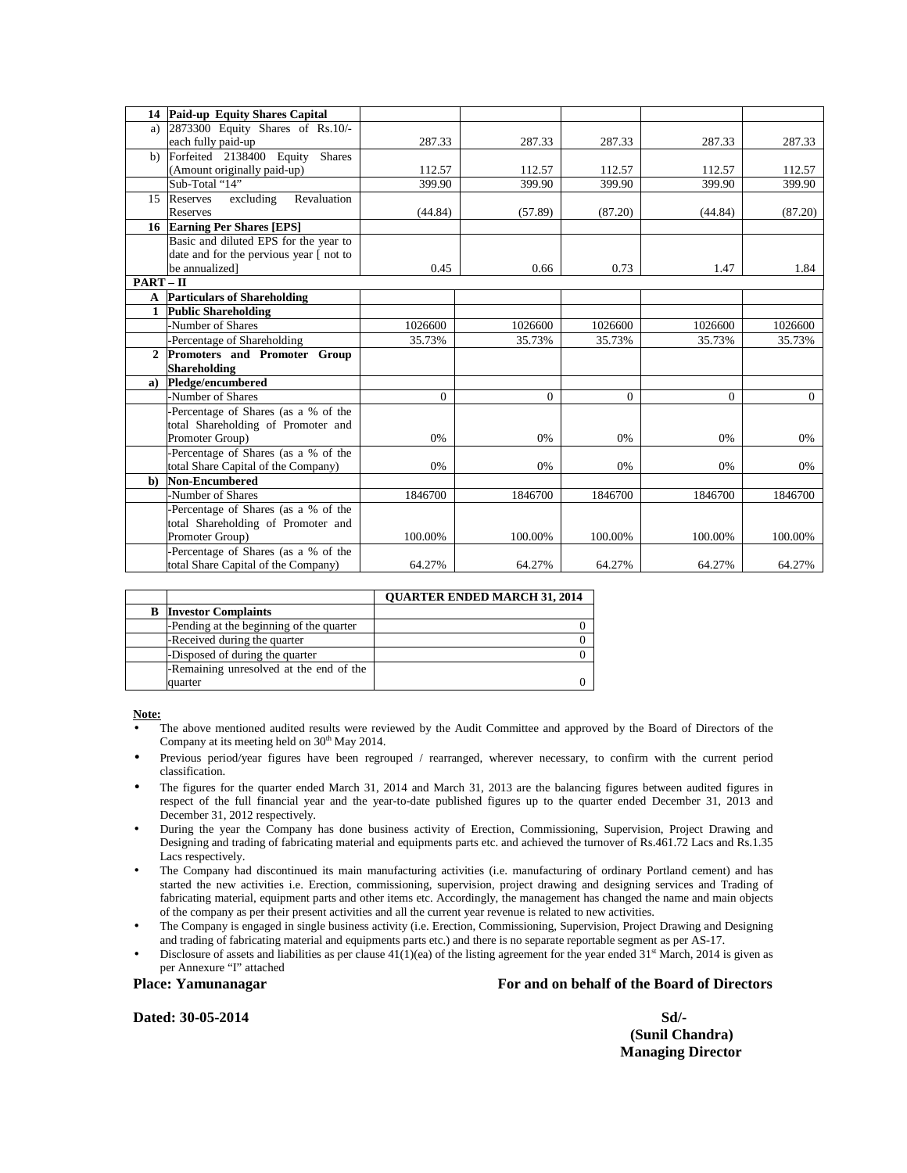|              | 14 Paid-up Equity Shares Capital          |          |          |          |          |          |
|--------------|-------------------------------------------|----------|----------|----------|----------|----------|
|              | a) 2873300 Equity Shares of Rs.10/-       |          |          |          |          |          |
|              | each fully paid-up                        | 287.33   | 287.33   | 287.33   | 287.33   | 287.33   |
| b)           | Forfeited 2138400 Equity<br><b>Shares</b> |          |          |          |          |          |
|              | (Amount originally paid-up)               | 112.57   | 112.57   | 112.57   | 112.57   | 112.57   |
|              | Sub-Total "14"                            | 399.90   | 399.90   | 399.90   | 399.90   | 399.90   |
|              | excluding<br>Revaluation<br>15 Reserves   |          |          |          |          |          |
|              | <b>Reserves</b>                           | (44.84)  | (57.89)  | (87.20)  | (44.84)  | (87.20)  |
|              | 16 Earning Per Shares [EPS]               |          |          |          |          |          |
|              | Basic and diluted EPS for the year to     |          |          |          |          |          |
|              | date and for the pervious year [ not to   |          |          |          |          |          |
|              | be annualized]                            | 0.45     | 0.66     | 0.73     | 1.47     | 1.84     |
| $PART - II$  |                                           |          |          |          |          |          |
| $\mathbf{A}$ | <b>Particulars of Shareholding</b>        |          |          |          |          |          |
| 1            | <b>Public Shareholding</b>                |          |          |          |          |          |
|              | Number of Shares                          | 1026600  | 1026600  | 1026600  | 1026600  | 1026600  |
|              | -Percentage of Shareholding               | 35.73%   | 35.73%   | 35.73%   | 35.73%   | 35.73%   |
| 2            | Promoters and Promoter Group              |          |          |          |          |          |
|              | <b>Shareholding</b>                       |          |          |          |          |          |
| a)           | Pledge/encumbered                         |          |          |          |          |          |
|              | Number of Shares                          | $\Omega$ | $\Omega$ | $\Omega$ | $\Omega$ | $\Omega$ |
|              | Percentage of Shares (as a % of the       |          |          |          |          |          |
|              | total Shareholding of Promoter and        |          |          |          |          |          |
|              | Promoter Group)                           | 0%       | 0%       | 0%       | 0%       | 0%       |
|              | -Percentage of Shares (as a % of the      |          |          |          |          |          |
|              | total Share Capital of the Company)       | 0%       | 0%       | 0%       | 0%       | 0%       |
| $\mathbf{b}$ | <b>Non-Encumbered</b>                     |          |          |          |          |          |
|              | Number of Shares                          | 1846700  | 1846700  | 1846700  | 1846700  | 1846700  |
|              | Percentage of Shares (as a % of the       |          |          |          |          |          |
|              | total Shareholding of Promoter and        |          |          |          |          |          |
|              | Promoter Group)                           | 100.00%  | 100.00%  | 100.00%  | 100.00%  | 100.00%  |
|              | Percentage of Shares (as a % of the       |          |          |          |          |          |
|              | total Share Capital of the Company)       | 64.27%   | 64.27%   | 64.27%   | 64.27%   | 64.27%   |

|                                          | <b>OUARTER ENDED MARCH 31, 2014</b> |
|------------------------------------------|-------------------------------------|
| <b>Investor Complaints</b>               |                                     |
| -Pending at the beginning of the quarter |                                     |
| -Received during the quarter             |                                     |
| -Disposed of during the quarter          |                                     |
| -Remaining unresolved at the end of the  |                                     |
| quarter                                  |                                     |

**Note:**

- The above mentioned audited results were reviewed by the Audit Committee and approved by the Board of Directors of the Company at its meeting held on 30<sup>th</sup> May 2014.
- Previous period/year figures have been regrouped / rearranged, wherever necessary, to confirm with the current period classification.
- The figures for the quarter ended March 31, 2014 and March 31, 2013 are the balancing figures between audited figures in respect of the full financial year and the year-to-date published figures up to the quarter ended December 31, 2013 and December 31, 2012 respectively.
- During the year the Company has done business activity of Erection, Commissioning, Supervision, Project Drawing and Designing and trading of fabricating material and equipments parts etc. and achieved the turnover of Rs.461.72 Lacs and Rs.1.35 Lacs respectively.
- The Company had discontinued its main manufacturing activities (i.e. manufacturing of ordinary Portland cement) and has started the new activities i.e. Erection, commissioning, supervision, project drawing and designing services and Trading of fabricating material, equipment parts and other items etc. Accordingly, the management has changed the name and main objects of the company as per their present activities and all the current year revenue is related to new activities.
- The Company is engaged in single business activity (i.e. Erection, Commissioning, Supervision, Project Drawing and Designing and trading of fabricating material and equipments parts etc.) and there is no separate reportable segment as per AS-17.
- Disclosure of assets and liabilities as per clause  $41(1)(ea)$  of the listing agreement for the year ended  $31<sup>st</sup>$  March, 2014 is given as per Annexure "I" attached

**Place: Yamunanagar For and on behalf of the Board of Directors** 

**Dated: 30-05-2014** Sd/-

 **(Sunil Chandra) Managing Director**